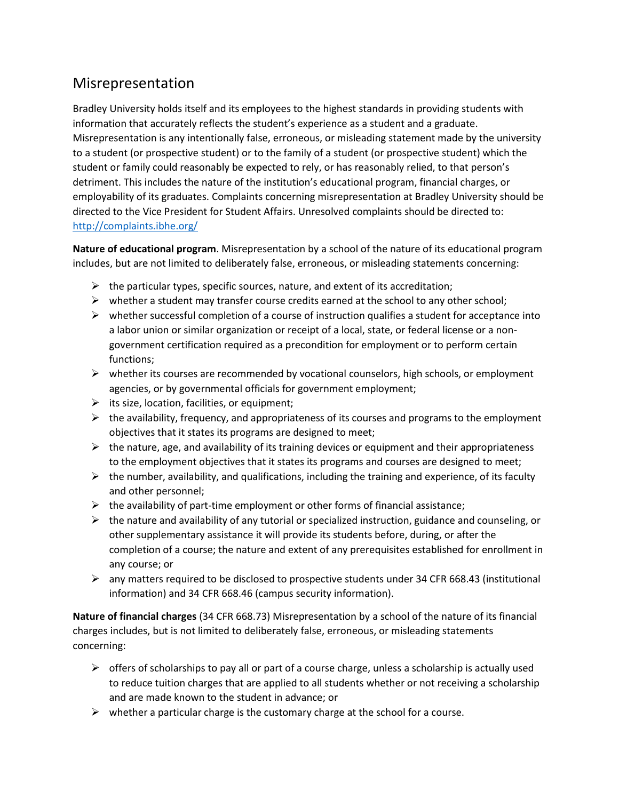## Misrepresentation

Bradley University holds itself and its employees to the highest standards in providing students with information that accurately reflects the student's experience as a student and a graduate. Misrepresentation is any intentionally false, erroneous, or misleading statement made by the university to a student (or prospective student) or to the family of a student (or prospective student) which the student or family could reasonably be expected to rely, or has reasonably relied, to that person's detriment. This includes the nature of the institution's educational program, financial charges, or employability of its graduates. Complaints concerning misrepresentation at Bradley University should be directed to the Vice President for Student Affairs. Unresolved complaints should be directed to: <http://complaints.ibhe.org/>

**Nature of educational program**. Misrepresentation by a school of the nature of its educational program includes, but are not limited to deliberately false, erroneous, or misleading statements concerning:

- $\triangleright$  the particular types, specific sources, nature, and extent of its accreditation;
- $\triangleright$  whether a student may transfer course credits earned at the school to any other school;
- $\triangleright$  whether successful completion of a course of instruction qualifies a student for acceptance into a labor union or similar organization or receipt of a local, state, or federal license or a nongovernment certification required as a precondition for employment or to perform certain functions;
- $\triangleright$  whether its courses are recommended by vocational counselors, high schools, or employment agencies, or by governmental officials for government employment;
- $\triangleright$  its size, location, facilities, or equipment;
- $\triangleright$  the availability, frequency, and appropriateness of its courses and programs to the employment objectives that it states its programs are designed to meet;
- $\triangleright$  the nature, age, and availability of its training devices or equipment and their appropriateness to the employment objectives that it states its programs and courses are designed to meet;
- $\triangleright$  the number, availability, and qualifications, including the training and experience, of its faculty and other personnel;
- $\triangleright$  the availability of part-time employment or other forms of financial assistance;
- $\triangleright$  the nature and availability of any tutorial or specialized instruction, guidance and counseling, or other supplementary assistance it will provide its students before, during, or after the completion of a course; the nature and extent of any prerequisites established for enrollment in any course; or
- $\triangleright$  any matters required to be disclosed to prospective students under 34 CFR 668.43 (institutional information) and 34 CFR 668.46 (campus security information).

**Nature of financial charges** (34 CFR 668.73) Misrepresentation by a school of the nature of its financial charges includes, but is not limited to deliberately false, erroneous, or misleading statements concerning:

- $\triangleright$  offers of scholarships to pay all or part of a course charge, unless a scholarship is actually used to reduce tuition charges that are applied to all students whether or not receiving a scholarship and are made known to the student in advance; or
- $\triangleright$  whether a particular charge is the customary charge at the school for a course.